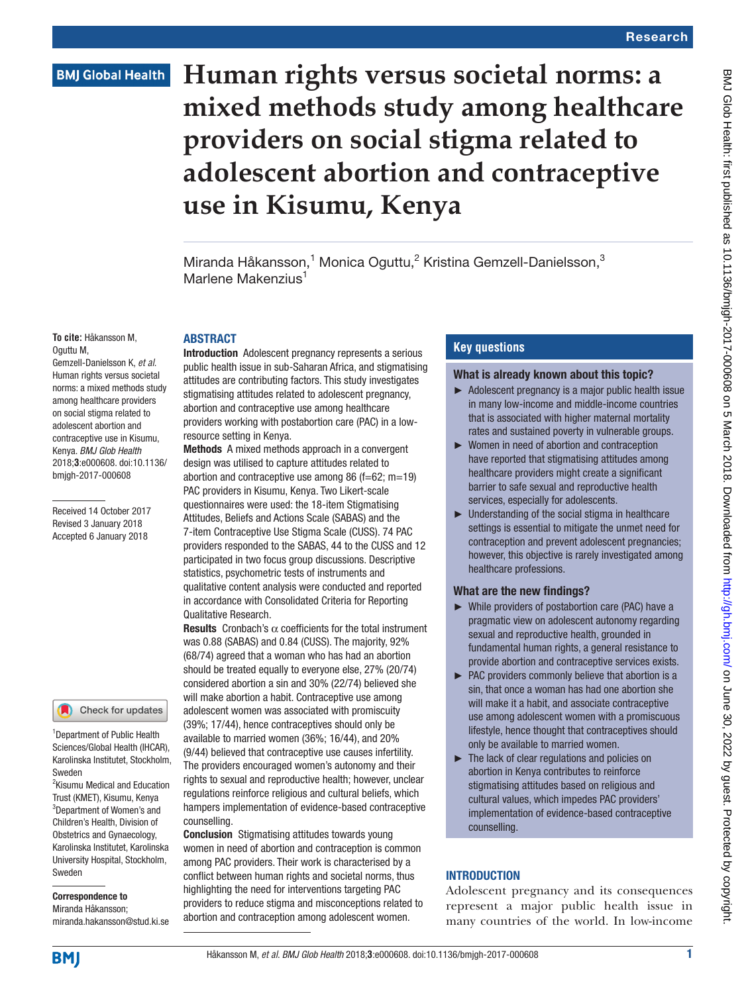## **BMJ Global Health**

# **Human rights versus societal norms: a mixed methods study among healthcare providers on social stigma related to adolescent abortion and contraceptive use in Kisumu, Kenya**

Miranda Håkansson,<sup>1</sup> Monica Oguttu,<sup>2</sup> Kristina Gemzell-Danielsson,<sup>3</sup> Marlene Makenzius

#### **To cite:** Håkansson M, Oguttu M,

Gemzell-Danielsson K, *et al*. Human rights versus societal norms: a mixed methods study among healthcare providers on social stigma related to adolescent abortion and contraceptive use in Kisumu, Kenya. *BMJ Glob Health* 2018;**3**:e000608. doi:10.1136/ bmjgh-2017-000608

Received 14 October 2017 Revised 3 January 2018 Accepted 6 January 2018

#### Check for updates

<sup>1</sup>Department of Public Health Sciences/Global Health (IHCAR), Karolinska Institutet, Stockholm, Sweden

2 Kisumu Medical and Education Trust (KMET), Kisumu, Kenya 3 Department of Women's and Children's Health, Division of Obstetrics and Gynaecology, Karolinska Institutet, Karolinska University Hospital, Stockholm, Sweden

Correspondence to Miranda Håkansson; miranda.hakansson@stud.ki.se Introduction Adolescent pregnancy represents a serious public health issue in sub-Saharan Africa, and stigmatising attitudes are contributing factors. This study investigates stigmatising attitudes related to adolescent pregnancy, abortion and contraceptive use among healthcare providers working with postabortion care (PAC) in a lowresource setting in Kenya.

**ABSTRACT** 

Methods A mixed methods approach in a convergent design was utilised to capture attitudes related to abortion and contraceptive use among 86 (f=62;  $m=19$ ) PAC providers in Kisumu, Kenya. Two Likert-scale questionnaires were used: the 18-item Stigmatising Attitudes, Beliefs and Actions Scale (SABAS) and the 7-item Contraceptive Use Stigma Scale (CUSS). 74 PAC providers responded to the SABAS, 44 to the CUSS and 12 participated in two focus group discussions. Descriptive statistics, psychometric tests of instruments and qualitative content analysis were conducted and reported in accordance with Consolidated Criteria for Reporting Qualitative Research.

Results Cronbach's  $\alpha$  coefficients for the total instrument was 0.88 (SABAS) and 0.84 (CUSS). The majority, 92% (68/74) agreed that a woman who has had an abortion should be treated equally to everyone else, 27% (20/74) considered abortion a sin and 30% (22/74) believed she will make abortion a habit. Contraceptive use among adolescent women was associated with promiscuity (39%; 17/44), hence contraceptives should only be available to married women (36%; 16/44), and 20% (9/44) believed that contraceptive use causes infertility. The providers encouraged women's autonomy and their rights to sexual and reproductive health; however, unclear regulations reinforce religious and cultural beliefs, which hampers implementation of evidence-based contraceptive counselling.

Conclusion Stigmatising attitudes towards young women in need of abortion and contraception is common among PAC providers. Their work is characterised by a conflict between human rights and societal norms, thus highlighting the need for interventions targeting PAC providers to reduce stigma and misconceptions related to abortion and contraception among adolescent women.

## **Key questions**

#### What is already known about this topic?

- ► Adolescent pregnancy is a major public health issue in many low-income and middle-income countries that is associated with higher maternal mortality rates and sustained poverty in vulnerable groups.
- ► Women in need of abortion and contraception have reported that stigmatising attitudes among healthcare providers might create a significant barrier to safe sexual and reproductive health services, especially for adolescents.
- ► Understanding of the social stigma in healthcare settings is essential to mitigate the unmet need for contraception and prevent adolescent pregnancies; however, this objective is rarely investigated among healthcare professions.

#### What are the new findings?

- ► While providers of postabortion care (PAC) have a pragmatic view on adolescent autonomy regarding sexual and reproductive health, grounded in fundamental human rights, a general resistance to provide abortion and contraceptive services exists.
- ► PAC providers commonly believe that abortion is a sin, that once a woman has had one abortion she will make it a habit, and associate contraceptive use among adolescent women with a promiscuous lifestyle, hence thought that contraceptives should only be available to married women.
- ► The lack of clear regulations and policies on abortion in Kenya contributes to reinforce stigmatising attitudes based on religious and cultural values, which impedes PAC providers' implementation of evidence-based contraceptive counselling.

## **INTRODUCTION**

Adolescent pregnancy and its consequences represent a major public health issue in many countries of the world. In low-income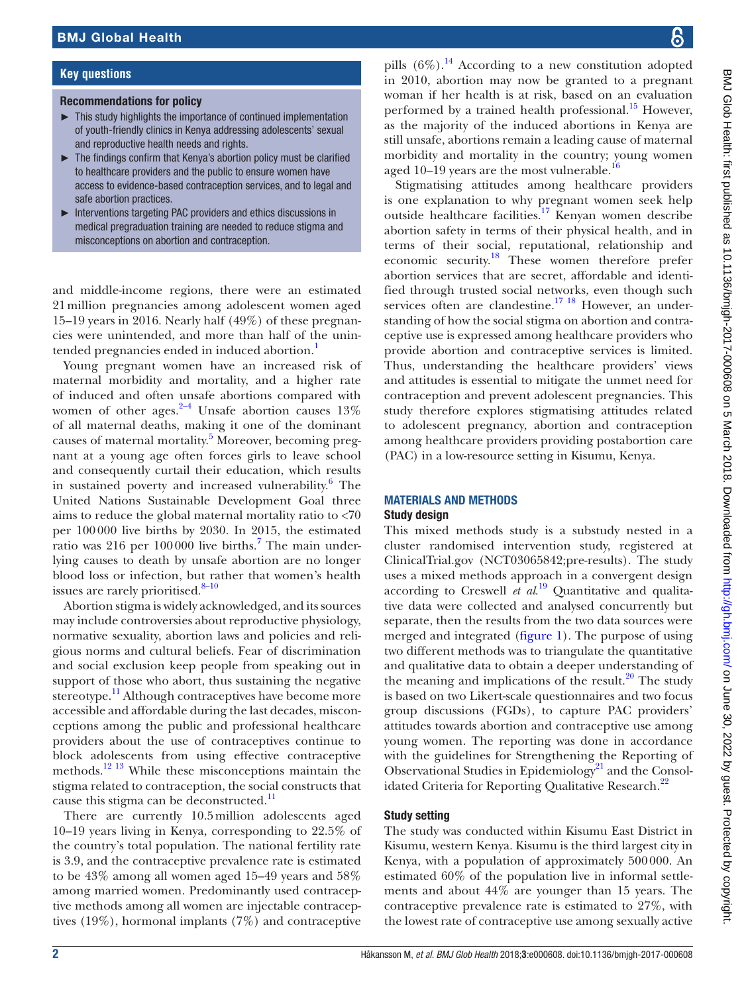### **Key questions**

#### Recommendations for policy

- ► This study highlights the importance of continued implementation of youth-friendly clinics in Kenya addressing adolescents' sexual and reproductive health needs and rights.
- ► The findings confirm that Kenya's abortion policy must be clarified to healthcare providers and the public to ensure women have access to evidence-based contraception services, and to legal and safe abortion practices.
- ► Interventions targeting PAC providers and ethics discussions in medical pregraduation training are needed to reduce stigma and misconceptions on abortion and contraception.

and middle-income regions, there were an estimated 21million pregnancies among adolescent women aged 15–19 years in 2016. Nearly half (49%) of these pregnancies were unintended, and more than half of the unin-tended pregnancies ended in induced abortion.<sup>[1](#page-12-0)</sup>

Young pregnant women have an increased risk of maternal morbidity and mortality, and a higher rate of induced and often unsafe abortions compared with women of other ages. $2-4$  Unsafe abortion causes 13% of all maternal deaths, making it one of the dominant causes of maternal mortality.<sup>[5](#page-12-2)</sup> Moreover, becoming pregnant at a young age often forces girls to leave school and consequently curtail their education, which results in sustained poverty and increased vulnerability.<sup>[6](#page-12-3)</sup> The United Nations Sustainable Development Goal three aims to reduce the global maternal mortality ratio to <70 per 100000 live births by 2030. In 2015, the estimated ratio was 216 per 100 000 live births.<sup>[7](#page-12-4)</sup> The main underlying causes to death by unsafe abortion are no longer blood loss or infection, but rather that women's health issues are rarely prioritised. $8-10$ 

Abortion stigma is widely acknowledged, and its sources may include controversies about reproductive physiology, normative sexuality, abortion laws and policies and religious norms and cultural beliefs. Fear of discrimination and social exclusion keep people from speaking out in support of those who abort, thus sustaining the negative stereotype.<sup>11</sup> Although contraceptives have become more accessible and affordable during the last decades, misconceptions among the public and professional healthcare providers about the use of contraceptives continue to block adolescents from using effective contraceptive methods[.12 13](#page-12-7) While these misconceptions maintain the stigma related to contraception, the social constructs that cause this stigma can be deconstructed. $\frac{11}{11}$ 

There are currently 10.5million adolescents aged 10–19 years living in Kenya, corresponding to 22.5% of the country's total population. The national fertility rate is 3.9, and the contraceptive prevalence rate is estimated to be 43% among all women aged 15–49 years and 58% among married women. Predominantly used contraceptive methods among all women are injectable contraceptives (19%), hormonal implants (7%) and contraceptive

pills  $(6\%)$ .<sup>14</sup> According to a new constitution adopted in 2010, abortion may now be granted to a pregnant woman if her health is at risk, based on an evaluation performed by a trained health professional.<sup>[15](#page-12-9)</sup> However, as the majority of the induced abortions in Kenya are still unsafe, abortions remain a leading cause of maternal morbidity and mortality in the country; young women aged 10–19 years are the most vulnerable.<sup>16</sup>

Stigmatising attitudes among healthcare providers is one explanation to why pregnant women seek help outside healthcare facilities[.17](#page-12-11) Kenyan women describe abortion safety in terms of their physical health, and in terms of their social, reputational, relationship and economic security.[18](#page-12-12) These women therefore prefer abortion services that are secret, affordable and identified through trusted social networks, even though such services often are clandestine.<sup>17 18</sup> However, an understanding of how the social stigma on abortion and contraceptive use is expressed among healthcare providers who provide abortion and contraceptive services is limited. Thus, understanding the healthcare providers' views and attitudes is essential to mitigate the unmet need for contraception and prevent adolescent pregnancies. This study therefore explores stigmatising attitudes related to adolescent pregnancy, abortion and contraception among healthcare providers providing postabortion care (PAC) in a low-resource setting in Kisumu, Kenya.

## Materials and methods

#### Study design

This mixed methods study is a substudy nested in a cluster randomised intervention study, registered at ClinicalTrial.gov (NCT03065842;pre-results). The study uses a mixed methods approach in a convergent design according to Creswell *et al*. [19](#page-12-13) Quantitative and qualitative data were collected and analysed concurrently but separate, then the results from the two data sources were merged and integrated [\(figure](#page-2-0) 1). The purpose of using two different methods was to triangulate the quantitative and qualitative data to obtain a deeper understanding of the meaning and implications of the result. $^{20}$  $^{20}$  $^{20}$  The study is based on two Likert-scale questionnaires and two focus group discussions (FGDs), to capture PAC providers' attitudes towards abortion and contraceptive use among young women. The reporting was done in accordance with the guidelines for Strengthening the Reporting of Observational Studies in Epidemiology<sup>[21](#page-12-15)</sup> and the Consol-idated Criteria for Reporting Qualitative Research.<sup>[22](#page-12-16)</sup>

#### Study setting

The study was conducted within Kisumu East District in Kisumu, western Kenya. Kisumu is the third largest city in Kenya, with a population of approximately 500000. An estimated 60% of the population live in informal settlements and about 44% are younger than 15 years. The contraceptive prevalence rate is estimated to 27%, with the lowest rate of contraceptive use among sexually active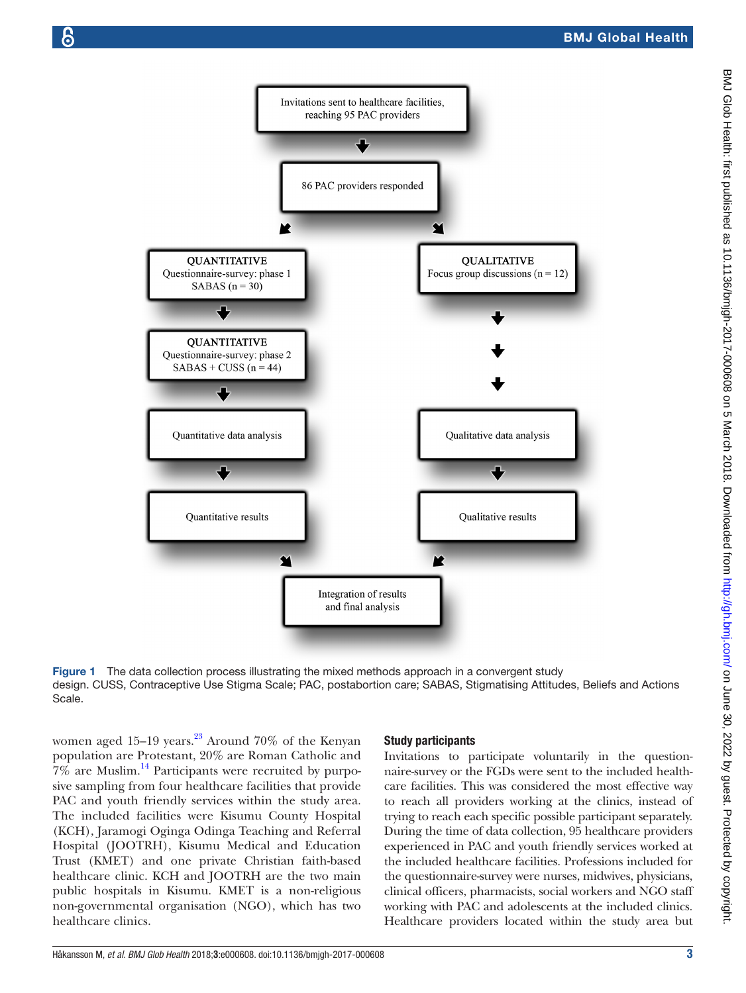

Figure 1 The data collection process illustrating the mixed methods approach in a convergent study design. CUSS, Contraceptive Use Stigma Scale; PAC, postabortion care; SABAS, Stigmatising Attitudes, Beliefs and Actions Scale.

women aged 15–19 years. $^{23}$  Around 70% of the Kenyan population are Protestant, 20% are Roman Catholic and  $7\%$  are Muslim.<sup>[14](#page-12-8)</sup> Participants were recruited by purposive sampling from four healthcare facilities that provide PAC and youth friendly services within the study area. The included facilities were Kisumu County Hospital (KCH), Jaramogi Oginga Odinga Teaching and Referral Hospital (JOOTRH), Kisumu Medical and Education Trust (KMET) and one private Christian faith-based healthcare clinic. KCH and JOOTRH are the two main public hospitals in Kisumu. KMET is a non-religious non-governmental organisation (NGO), which has two healthcare clinics.

#### <span id="page-2-0"></span>Study participants

Invitations to participate voluntarily in the questionnaire-survey or the FGDs were sent to the included healthcare facilities. This was considered the most effective way to reach all providers working at the clinics, instead of trying to reach each specific possible participant separately. During the time of data collection, 95 healthcare providers experienced in PAC and youth friendly services worked at the included healthcare facilities. Professions included for the questionnaire-survey were nurses, midwives, physicians, clinical officers, pharmacists, social workers and NGO staff working with PAC and adolescents at the included clinics. Healthcare providers located within the study area but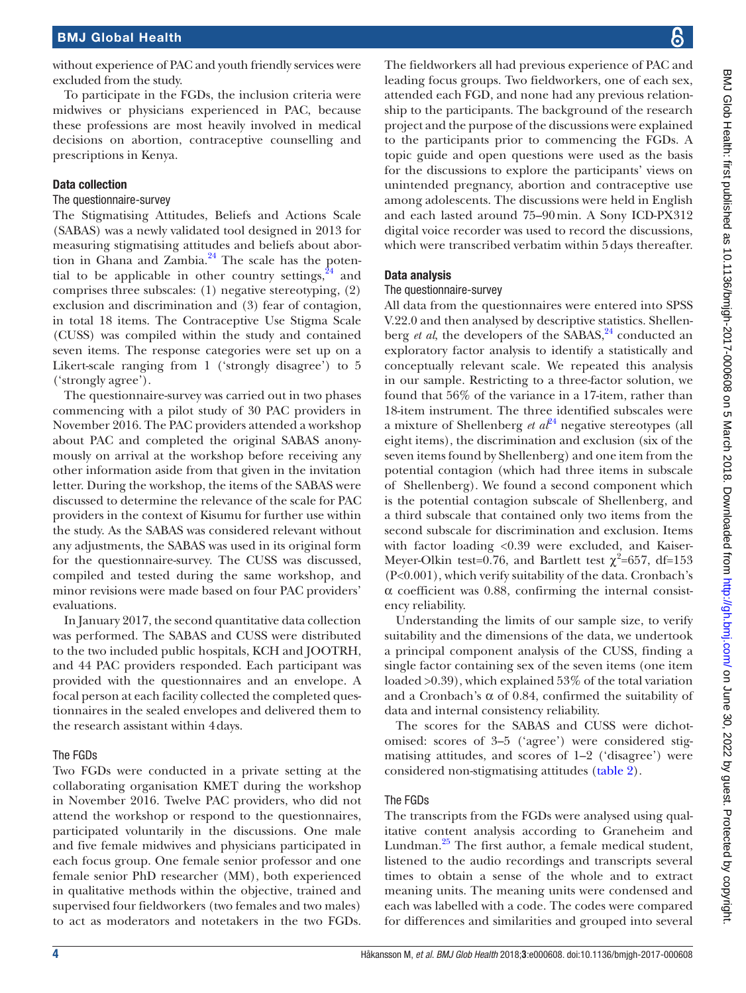without experience of PAC and youth friendly services were excluded from the study.

To participate in the FGDs, the inclusion criteria were midwives or physicians experienced in PAC, because these professions are most heavily involved in medical decisions on abortion, contraceptive counselling and prescriptions in Kenya.

## Data collection

#### The questionnaire-survey

The Stigmatising Attitudes, Beliefs and Actions Scale (SABAS) was a newly validated tool designed in 2013 for measuring stigmatising attitudes and beliefs about abortion in Ghana and Zambia. $24$  The scale has the potential to be applicable in other country settings,  $24$  and comprises three subscales: (1) negative stereotyping, (2) exclusion and discrimination and (3) fear of contagion, in total 18 items. The Contraceptive Use Stigma Scale (CUSS) was compiled within the study and contained seven items. The response categories were set up on a Likert-scale ranging from 1 ('strongly disagree') to 5 ('strongly agree').

The questionnaire-survey was carried out in two phases commencing with a pilot study of 30 PAC providers in November 2016. The PAC providers attended a workshop about PAC and completed the original SABAS anonymously on arrival at the workshop before receiving any other information aside from that given in the invitation letter. During the workshop, the items of the SABAS were discussed to determine the relevance of the scale for PAC providers in the context of Kisumu for further use within the study. As the SABAS was considered relevant without any adjustments, the SABAS was used in its original form for the questionnaire-survey. The CUSS was discussed, compiled and tested during the same workshop, and minor revisions were made based on four PAC providers' evaluations.

In January 2017, the second quantitative data collection was performed. The SABAS and CUSS were distributed to the two included public hospitals, KCH and JOOTRH, and 44 PAC providers responded. Each participant was provided with the questionnaires and an envelope. A focal person at each facility collected the completed questionnaires in the sealed envelopes and delivered them to the research assistant within 4days.

#### The FGDs

Two FGDs were conducted in a private setting at the collaborating organisation KMET during the workshop in November 2016. Twelve PAC providers, who did not attend the workshop or respond to the questionnaires, participated voluntarily in the discussions. One male and five female midwives and physicians participated in each focus group. One female senior professor and one female senior PhD researcher (MM), both experienced in qualitative methods within the objective, trained and supervised four fieldworkers (two females and two males) to act as moderators and notetakers in the two FGDs.

The fieldworkers all had previous experience of PAC and leading focus groups. Two fieldworkers, one of each sex, attended each FGD, and none had any previous relationship to the participants. The background of the research project and the purpose of the discussions were explained to the participants prior to commencing the FGDs. A topic guide and open questions were used as the basis for the discussions to explore the participants' views on unintended pregnancy, abortion and contraceptive use among adolescents. The discussions were held in English and each lasted around 75–90min. A Sony ICD-PX312 digital voice recorder was used to record the discussions, which were transcribed verbatim within 5days thereafter.

## Data analysis

#### The questionnaire-survey

All data from the questionnaires were entered into SPSS V.22.0 and then analysed by descriptive statistics. Shellenberg *et al*, the developers of the SABAS,<sup>24</sup> conducted an exploratory factor analysis to identify a statistically and conceptually relevant scale. We repeated this analysis in our sample. Restricting to a three-factor solution, we found that 56% of the variance in a 17-item, rather than 18-item instrument. The three identified subscales were a mixture of Shellenberg *et a* $\ell^4$  negative stereotypes (all eight items), the discrimination and exclusion (six of the seven items found by Shellenberg) and one item from the potential contagion (which had three items in subscale of Shellenberg). We found a second component which is the potential contagion subscale of Shellenberg, and a third subscale that contained only two items from the second subscale for discrimination and exclusion. Items with factor loading <0.39 were excluded, and Kaiser-Meyer-Olkin test=0.76, and Bartlett test  $\chi^2$ =657, df=153 (P<0.001), which verify suitability of the data. Cronbach's α coefficient was 0.88, confirming the internal consistency reliability.

Understanding the limits of our sample size, to verify suitability and the dimensions of the data, we undertook a principal component analysis of the CUSS, finding a single factor containing sex of the seven items (one item loaded >0.39), which explained 53% of the total variation and a Cronbach's  $\alpha$  of 0.84, confirmed the suitability of data and internal consistency reliability.

The scores for the SABAS and CUSS were dichotomised: scores of 3–5 ('agree') were considered stigmatising attitudes, and scores of 1–2 ('disagree') were considered non-stigmatising attitudes ([table](#page-5-0) 2).

## The FGDs

The transcripts from the FGDs were analysed using qualitative content analysis according to Graneheim and Lundman. $25$  The first author, a female medical student, listened to the audio recordings and transcripts several times to obtain a sense of the whole and to extract meaning units. The meaning units were condensed and each was labelled with a code. The codes were compared for differences and similarities and grouped into several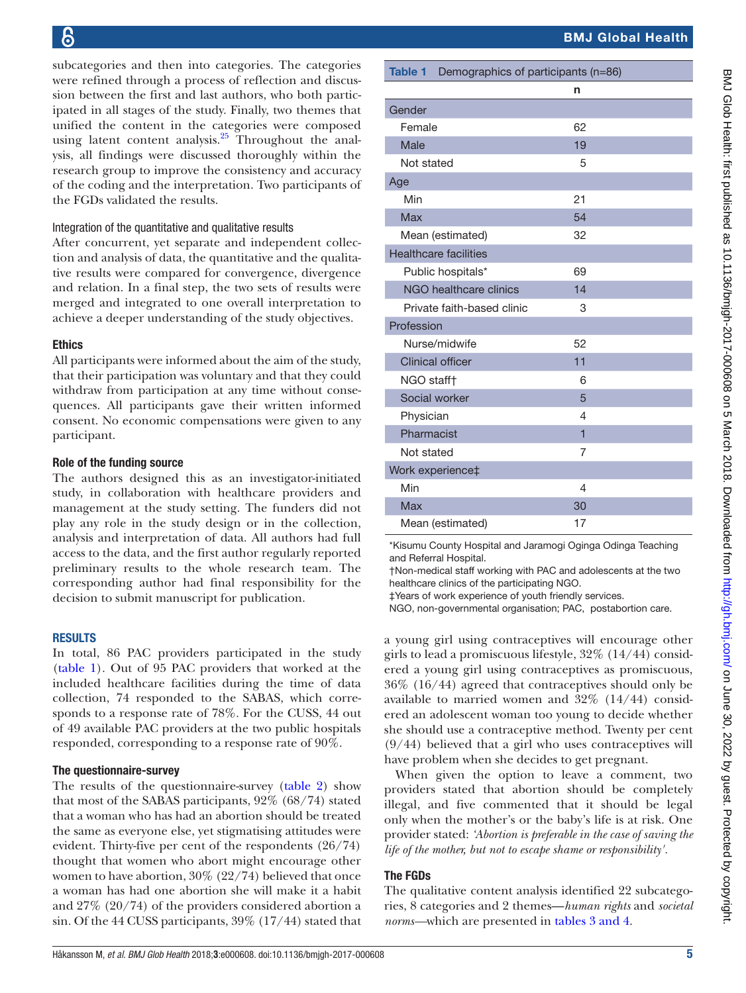subcategories and then into categories. The categories were refined through a process of reflection and discussion between the first and last authors, who both participated in all stages of the study. Finally, two themes that unified the content in the categories were composed using latent content analysis.<sup>25</sup> Throughout the analysis, all findings were discussed thoroughly within the research group to improve the consistency and accuracy of the coding and the interpretation. Two participants of the FGDs validated the results.

### Integration of the quantitative and qualitative results

After concurrent, yet separate and independent collection and analysis of data, the quantitative and the qualitative results were compared for convergence, divergence and relation. In a final step, the two sets of results were merged and integrated to one overall interpretation to achieve a deeper understanding of the study objectives.

## Ethics

All participants were informed about the aim of the study, that their participation was voluntary and that they could withdraw from participation at any time without consequences. All participants gave their written informed consent. No economic compensations were given to any participant.

## Role of the funding source

The authors designed this as an investigator-initiated study, in collaboration with healthcare providers and management at the study setting. The funders did not play any role in the study design or in the collection, analysis and interpretation of data. All authors had full access to the data, and the first author regularly reported preliminary results to the whole research team. The corresponding author had final responsibility for the decision to submit manuscript for publication.

## **RESULTS**

In total, 86 PAC providers participated in the study [\(table](#page-4-0) 1). Out of 95 PAC providers that worked at the included healthcare facilities during the time of data collection, 74 responded to the SABAS, which corresponds to a response rate of 78%. For the CUSS, 44 out of 49 available PAC providers at the two public hospitals responded, corresponding to a response rate of 90%.

## The questionnaire-survey

The results of the questionnaire-survey ([table](#page-5-0) 2) show that most of the SABAS participants, 92% (68/74) stated that a woman who has had an abortion should be treated the same as everyone else, yet stigmatising attitudes were evident. Thirty-five per cent of the respondents (26/74) thought that women who abort might encourage other women to have abortion, 30% (22/74) believed that once a woman has had one abortion she will make it a habit and 27% (20/74) of the providers considered abortion a sin. Of the 44 CUSS participants, 39% (17/44) stated that

<span id="page-4-0"></span>

| <b>Table 1</b><br>Demographics of participants (n=86) |                |  |  |  |
|-------------------------------------------------------|----------------|--|--|--|
|                                                       | n              |  |  |  |
| Gender                                                |                |  |  |  |
| Female                                                | 62             |  |  |  |
| Male                                                  | 19             |  |  |  |
| Not stated                                            | 5              |  |  |  |
| Age                                                   |                |  |  |  |
| Min                                                   | 21             |  |  |  |
| Max                                                   | 54             |  |  |  |
| Mean (estimated)                                      | 32             |  |  |  |
| <b>Healthcare facilities</b>                          |                |  |  |  |
| Public hospitals*                                     | 69             |  |  |  |
| NGO healthcare clinics                                | 14             |  |  |  |
| Private faith-based clinic                            | 3              |  |  |  |
| Profession                                            |                |  |  |  |
| Nurse/midwife                                         | 52             |  |  |  |
| <b>Clinical officer</b>                               | 11             |  |  |  |
| NGO staff†                                            | 6              |  |  |  |
| Social worker                                         | 5              |  |  |  |
| Physician                                             | 4              |  |  |  |
| Pharmacist                                            | $\overline{1}$ |  |  |  |
| Not stated                                            | 7              |  |  |  |
| Work experience‡                                      |                |  |  |  |
| Min                                                   | $\overline{4}$ |  |  |  |
| Max                                                   | 30             |  |  |  |
| Mean (estimated)                                      | 17             |  |  |  |

\*Kisumu County Hospital and Jaramogi Oginga Odinga Teaching and Referral Hospital.

†Non-medical staff working with PAC and adolescents at the two healthcare clinics of the participating NGO.

‡Years of work experience of youth friendly services.

NGO, non-governmental organisation; PAC, postabortion care.

a young girl using contraceptives will encourage other girls to lead a promiscuous lifestyle, 32% (14/44) considered a young girl using contraceptives as promiscuous, 36% (16/44) agreed that contraceptives should only be available to married women and 32% (14/44) considered an adolescent woman too young to decide whether she should use a contraceptive method. Twenty per cent  $(9/44)$  believed that a girl who uses contraceptives will have problem when she decides to get pregnant.

When given the option to leave a comment, two providers stated that abortion should be completely illegal, and five commented that it should be legal only when the mother's or the baby's life is at risk. One provider stated: *'Abortion is preferable in the case of saving the life of the mother, but not to escape shame or responsibility'.*

## The FGDs

The qualitative content analysis identified 22 subcategories, 8 categories and 2 themes—*human rights* and *societal norms—*which are presented in tables [3 and 4.](#page-6-0)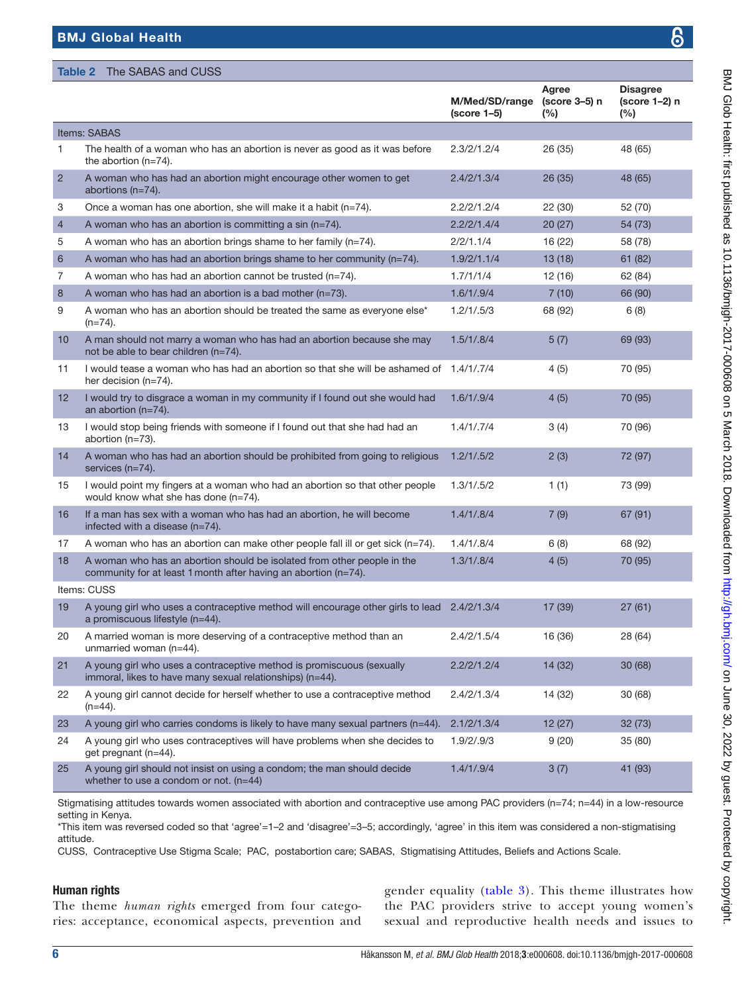<span id="page-5-0"></span>Table 2 The SARAS and CUSS

|                |                                                                                                                                            | M/Med/SD/range<br>(score 1–5) | Agree<br>(score 3-5) n<br>$(\%)$ | <b>Disagree</b><br>$(score 1-2)$ n<br>(%) |
|----------------|--------------------------------------------------------------------------------------------------------------------------------------------|-------------------------------|----------------------------------|-------------------------------------------|
|                | Items: SABAS                                                                                                                               |                               |                                  |                                           |
| $\mathbf{1}$   | The health of a woman who has an abortion is never as good as it was before<br>the abortion $(n=74)$ .                                     | 2.3/2/1.2/4                   | 26 (35)                          | 48 (65)                                   |
| $\overline{2}$ | A woman who has had an abortion might encourage other women to get<br>abortions ( $n=74$ ).                                                | 2.4/2/1.3/4                   | 26 (35)                          | 48 (65)                                   |
| 3              | Once a woman has one abortion, she will make it a habit (n=74).                                                                            | 2.2/2/1.2/4                   | 22 (30)                          | 52 (70)                                   |
| $\overline{4}$ | A woman who has an abortion is committing a sin ( $n=74$ ).                                                                                | 2.2/2/1.4/4                   | 20(27)                           | 54 (73)                                   |
| 5              | A woman who has an abortion brings shame to her family ( $n=74$ ).                                                                         | 2/2/1.1/4                     | 16 (22)                          | 58 (78)                                   |
| 6              | A woman who has had an abortion brings shame to her community ( $n=74$ ).                                                                  | 1.9/2/1.1/4                   | 13(18)                           | 61 (82)                                   |
| 7              | A woman who has had an abortion cannot be trusted (n=74).                                                                                  | 1.7/1/1/4                     | 12 (16)                          | 62 (84)                                   |
| 8              | A woman who has had an abortion is a bad mother ( $n=73$ ).                                                                                | 1.6/1/.9/4                    | 7(10)                            | 66 (90)                                   |
| 9              | A woman who has an abortion should be treated the same as everyone else*<br>$(n=74)$ .                                                     | 1.2/1/.5/3                    | 68 (92)                          | 6(8)                                      |
| 10             | A man should not marry a woman who has had an abortion because she may<br>not be able to bear children (n=74).                             | 1.5/1/.8/4                    | 5(7)                             | 69 (93)                                   |
| 11             | I would tease a woman who has had an abortion so that she will be ashamed of 1.4/1/.7/4<br>her decision $(n=74)$ .                         |                               | 4(5)                             | 70 (95)                                   |
| 12             | I would try to disgrace a woman in my community if I found out she would had<br>an abortion $(n=74)$ .                                     | 1.6/1/.9/4                    | 4(5)                             | 70 (95)                                   |
| 13             | I would stop being friends with someone if I found out that she had had an<br>abortion (n=73).                                             | 1.4/1/0.7/4                   | 3(4)                             | 70 (96)                                   |
| 14             | A woman who has had an abortion should be prohibited from going to religious<br>services (n=74).                                           | 1.2/1/.5/2                    | 2(3)                             | 72 (97)                                   |
| 15             | I would point my fingers at a woman who had an abortion so that other people<br>would know what she has done (n=74).                       | 1.3/1/.5/2                    | 1(1)                             | 73 (99)                                   |
| 16             | If a man has sex with a woman who has had an abortion, he will become<br>infected with a disease (n=74).                                   | 1.4/1/.8/4                    | 7(9)                             | 67 (91)                                   |
| 17             | A woman who has an abortion can make other people fall ill or get sick ( $n=74$ ).                                                         | 1.4/1/.8/4                    | 6(8)                             | 68 (92)                                   |
| 18             | A woman who has an abortion should be isolated from other people in the<br>community for at least 1 month after having an abortion (n=74). | 1.3/1/.8/4                    | 4(5)                             | 70 (95)                                   |
|                | Items: CUSS                                                                                                                                |                               |                                  |                                           |
| 19             | A young girl who uses a contraceptive method will encourage other girls to lead<br>a promiscuous lifestyle $(n=44)$ .                      | 2.4/2/1.3/4                   | 17 (39)                          | 27(61)                                    |
| 20             | A married woman is more deserving of a contraceptive method than an<br>unmarried woman $(n=44)$ .                                          | 2.4/2/1.5/4                   | 16 (36)                          | 28 (64)                                   |
| 21             | A young girl who uses a contraceptive method is promiscuous (sexually<br>immoral, likes to have many sexual relationships) (n=44).         | 2.2/2/1.2/4                   | 14 (32)                          | 30 (68)                                   |
| 22             | A young girl cannot decide for herself whether to use a contraceptive method<br>$(n=44)$ .                                                 | 2.4/2/1.3/4                   | 14 (32)                          | 30(68)                                    |
| 23             | A young girl who carries condoms is likely to have many sexual partners (n=44).                                                            | 2.1/2/1.3/4                   | 12(27)                           | 32(73)                                    |
| 24             | A young girl who uses contraceptives will have problems when she decides to<br>get pregnant (n=44).                                        | 1.9/2/.9/3                    | 9(20)                            | 35(80)                                    |
| 25             | A young girl should not insist on using a condom; the man should decide<br>whether to use a condom or not. $(n=44)$                        | 1.4/1/.9/4                    | 3(7)                             | 41 (93)                                   |

Stigmatising attitudes towards women associated with abortion and contraceptive use among PAC providers (n=74; n=44) in a low-resource setting in Kenya.

\*This item was reversed coded so that 'agree'=1–2 and 'disagree'=3–5; accordingly, 'agree' in this item was considered a non-stigmatising attitude.

CUSS, Contraceptive Use Stigma Scale; PAC, postabortion care; SABAS, Stigmatising Attitudes, Beliefs and Actions Scale.

#### Human rights

The theme *human rights* emerged from four categories: acceptance, economical aspects, prevention and

gender equality ([table](#page-6-0) 3). This theme illustrates how the PAC providers strive to accept young women's sexual and reproductive health needs and issues to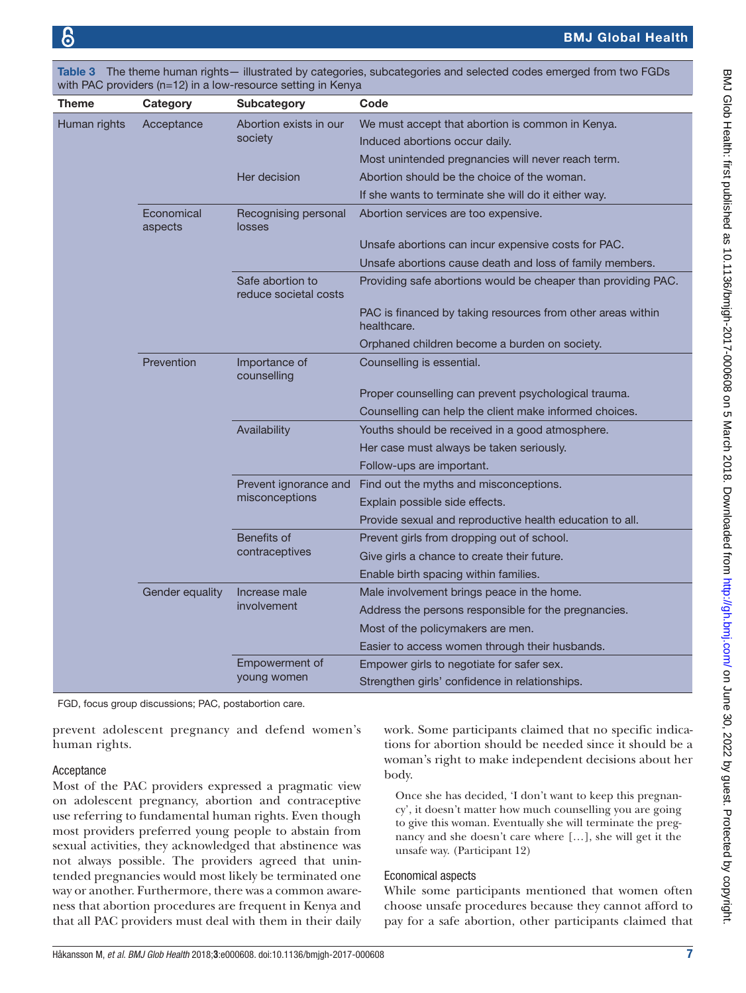<span id="page-6-0"></span>

| Table 3      |                       | with PAC providers (n=12) in a low-resource setting in Kenya | The theme human rights- illustrated by categories, subcategories and selected codes emerged from two FGDs                                                 |
|--------------|-----------------------|--------------------------------------------------------------|-----------------------------------------------------------------------------------------------------------------------------------------------------------|
| Theme        | Category              | Subcategory                                                  | Code                                                                                                                                                      |
| Human rights | Acceptance            | Abortion exists in our<br>society                            | We must accept that abortion is common in Kenya.<br>Induced abortions occur daily.                                                                        |
|              |                       | Her decision                                                 | Most unintended pregnancies will never reach term.<br>Abortion should be the choice of the woman.<br>If she wants to terminate she will do it either way. |
|              | Economical<br>aspects | Recognising personal<br>losses                               | Abortion services are too expensive.                                                                                                                      |
|              |                       |                                                              | Unsafe abortions can incur expensive costs for PAC.                                                                                                       |
|              |                       |                                                              | Unsafe abortions cause death and loss of family members.                                                                                                  |
|              |                       | Safe abortion to<br>reduce societal costs                    | Providing safe abortions would be cheaper than providing PAC.                                                                                             |
|              |                       |                                                              | PAC is financed by taking resources from other areas within<br>healthcare.                                                                                |
|              |                       |                                                              | Orphaned children become a burden on society.                                                                                                             |
|              | Prevention            | Importance of<br>counselling                                 | Counselling is essential.                                                                                                                                 |
|              |                       |                                                              | Proper counselling can prevent psychological trauma.                                                                                                      |
|              |                       |                                                              | Counselling can help the client make informed choices.                                                                                                    |
|              |                       | Availability                                                 | Youths should be received in a good atmosphere.                                                                                                           |
|              |                       |                                                              | Her case must always be taken seriously.                                                                                                                  |
|              |                       |                                                              | Follow-ups are important.                                                                                                                                 |
|              |                       | Prevent ignorance and<br>misconceptions                      | Find out the myths and misconceptions.                                                                                                                    |
|              |                       |                                                              | Explain possible side effects.                                                                                                                            |
|              |                       |                                                              | Provide sexual and reproductive health education to all.                                                                                                  |
|              |                       | <b>Benefits of</b><br>contraceptives                         | Prevent girls from dropping out of school.                                                                                                                |
|              |                       |                                                              | Give girls a chance to create their future.                                                                                                               |
|              |                       |                                                              | Enable birth spacing within families.                                                                                                                     |
|              | Gender equality       | Increase male                                                | Male involvement brings peace in the home.                                                                                                                |
|              |                       | involvement                                                  | Address the persons responsible for the pregnancies.                                                                                                      |
|              |                       |                                                              | Most of the policymakers are men.                                                                                                                         |
|              |                       |                                                              | Easier to access women through their husbands.                                                                                                            |
|              |                       | Empowerment of<br>young women                                | Empower girls to negotiate for safer sex.<br>Strengthen girls' confidence in relationships.                                                               |

FGD, focus group discussions; PAC, postabortion care.

prevent adolescent pregnancy and defend women's human rights.

#### Acceptance

Most of the PAC providers expressed a pragmatic view on adolescent pregnancy, abortion and contraceptive use referring to fundamental human rights. Even though most providers preferred young people to abstain from sexual activities, they acknowledged that abstinence was not always possible. The providers agreed that unintended pregnancies would most likely be terminated one way or another. Furthermore, there was a common awareness that abortion procedures are frequent in Kenya and that all PAC providers must deal with them in their daily work. Some participants claimed that no specific indications for abortion should be needed since it should be a woman's right to make independent decisions about her body.

Once she has decided, 'I don't want to keep this pregnancy', it doesn't matter how much counselling you are going to give this woman. Eventually she will terminate the pregnancy and she doesn't care where […], she will get it the unsafe way. (Participant 12)

#### Economical aspects

While some participants mentioned that women often choose unsafe procedures because they cannot afford to pay for a safe abortion, other participants claimed that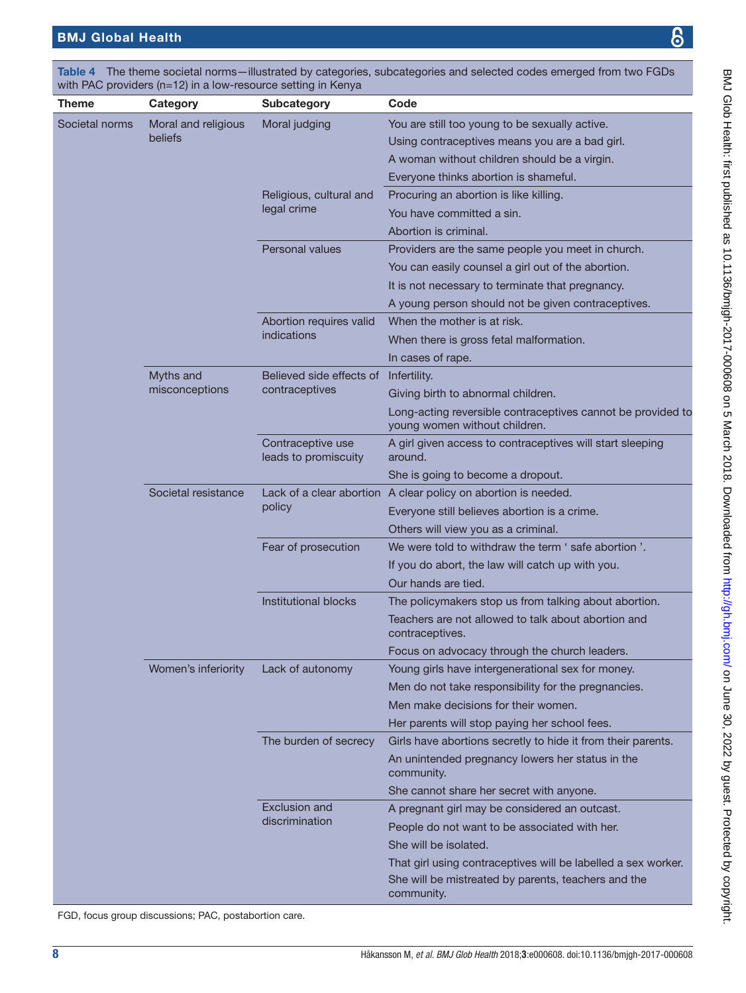BMJ Glob Health: first published as 10.1136/bmjgh-2017-000608 on 5 March 2018. Downloaded from <http://gh.bmj.com/> on June 30, 2022 by guest. Protected by copyright

BMJ Glob Health: first published as 10.1136/bmigh-2017-000608 on 5 March 2018. Downloaded from http://gh.bmj.com/ on June 30, 2022 by guest. Protected by copyright.

| Theme          | with PAC providers ( $i=12$ ) in a low-resource setting in Kenya<br>Category | Subcategory                               | Code                                                                                                                               |
|----------------|------------------------------------------------------------------------------|-------------------------------------------|------------------------------------------------------------------------------------------------------------------------------------|
| Societal norms | Moral and religious                                                          | Moral judging                             | You are still too young to be sexually active.                                                                                     |
|                | beliefs                                                                      |                                           | Using contraceptives means you are a bad girl.                                                                                     |
|                |                                                                              |                                           | A woman without children should be a virgin.                                                                                       |
|                |                                                                              |                                           | Everyone thinks abortion is shameful.                                                                                              |
|                |                                                                              | Religious, cultural and                   | Procuring an abortion is like killing.                                                                                             |
|                |                                                                              | legal crime                               | You have committed a sin.                                                                                                          |
|                |                                                                              |                                           | Abortion is criminal.                                                                                                              |
|                |                                                                              | <b>Personal values</b>                    | Providers are the same people you meet in church.                                                                                  |
|                |                                                                              |                                           | You can easily counsel a girl out of the abortion.                                                                                 |
|                |                                                                              |                                           | It is not necessary to terminate that pregnancy.                                                                                   |
|                |                                                                              |                                           | A young person should not be given contraceptives.                                                                                 |
|                |                                                                              | Abortion requires valid<br>indications    | When the mother is at risk.                                                                                                        |
|                |                                                                              |                                           | When there is gross fetal malformation.                                                                                            |
|                |                                                                              |                                           | In cases of rape.                                                                                                                  |
|                | Myths and                                                                    | Believed side effects of                  | Infertility.                                                                                                                       |
|                | misconceptions                                                               | contraceptives                            | Giving birth to abnormal children.                                                                                                 |
|                |                                                                              |                                           | Long-acting reversible contraceptives cannot be provided to<br>young women without children.                                       |
|                |                                                                              | Contraceptive use<br>leads to promiscuity | A girl given access to contraceptives will start sleeping<br>around.                                                               |
|                |                                                                              |                                           | She is going to become a dropout.                                                                                                  |
|                | Societal resistance                                                          | policy                                    | Lack of a clear abortion A clear policy on abortion is needed.                                                                     |
|                |                                                                              |                                           | Everyone still believes abortion is a crime.                                                                                       |
|                |                                                                              |                                           | Others will view you as a criminal.                                                                                                |
|                |                                                                              | Fear of prosecution                       | We were told to withdraw the term 'safe abortion'.                                                                                 |
|                |                                                                              |                                           | If you do abort, the law will catch up with you.                                                                                   |
|                |                                                                              |                                           | Our hands are tied.                                                                                                                |
|                |                                                                              | Institutional blocks                      | The policymakers stop us from talking about abortion.                                                                              |
|                |                                                                              |                                           | Teachers are not allowed to talk about abortion and<br>contraceptives.                                                             |
|                |                                                                              |                                           | Focus on advocacy through the church leaders.                                                                                      |
|                | Women's inferiority                                                          | Lack of autonomy                          | Young girls have intergenerational sex for money.                                                                                  |
|                |                                                                              |                                           | Men do not take responsibility for the pregnancies.                                                                                |
|                |                                                                              |                                           | Men make decisions for their women.                                                                                                |
|                |                                                                              |                                           | Her parents will stop paying her school fees.                                                                                      |
|                |                                                                              | The burden of secrecy                     | Girls have abortions secretly to hide it from their parents.                                                                       |
|                |                                                                              |                                           | An unintended pregnancy lowers her status in the                                                                                   |
|                |                                                                              |                                           | community.                                                                                                                         |
|                |                                                                              |                                           | She cannot share her secret with anyone.                                                                                           |
|                |                                                                              | <b>Exclusion and</b><br>discrimination    | A pregnant girl may be considered an outcast.                                                                                      |
|                |                                                                              |                                           | People do not want to be associated with her.                                                                                      |
|                |                                                                              |                                           | She will be isolated.                                                                                                              |
|                |                                                                              |                                           | That girl using contraceptives will be labelled a sex worker.<br>She will be mistreated by parents, teachers and the<br>community. |
|                |                                                                              |                                           |                                                                                                                                    |

<span id="page-7-0"></span>Table 4 The theme societal norms—illustrated by categories, subcategories and selected codes emerged from two FGDs with PAC providers (n=12) in a low-resource setting in Kenya

FGD, focus group discussions; PAC, postabortion care.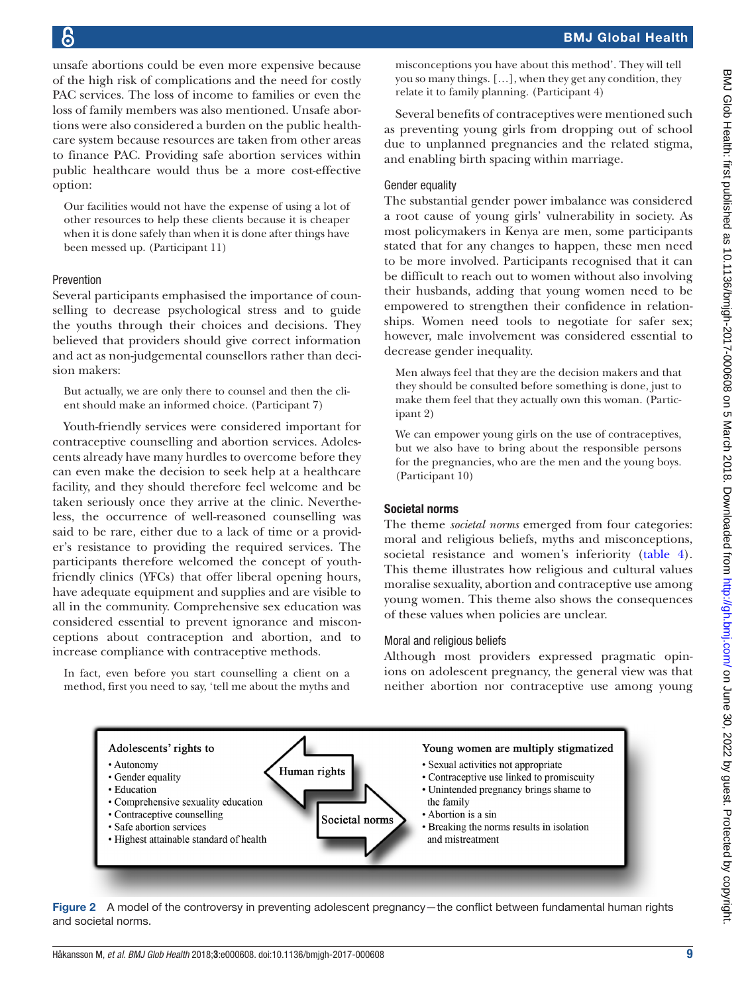unsafe abortions could be even more expensive because of the high risk of complications and the need for costly PAC services. The loss of income to families or even the loss of family members was also mentioned. Unsafe abortions were also considered a burden on the public healthcare system because resources are taken from other areas to finance PAC. Providing safe abortion services within public healthcare would thus be a more cost-effective option:

Our facilities would not have the expense of using a lot of other resources to help these clients because it is cheaper when it is done safely than when it is done after things have been messed up. (Participant 11)

#### Prevention

Several participants emphasised the importance of counselling to decrease psychological stress and to guide the youths through their choices and decisions. They believed that providers should give correct information and act as non-judgemental counsellors rather than decision makers:

But actually, we are only there to counsel and then the client should make an informed choice. (Participant 7)

Youth-friendly services were considered important for contraceptive counselling and abortion services. Adolescents already have many hurdles to overcome before they can even make the decision to seek help at a healthcare facility, and they should therefore feel welcome and be taken seriously once they arrive at the clinic. Nevertheless, the occurrence of well-reasoned counselling was said to be rare, either due to a lack of time or a provider's resistance to providing the required services. The participants therefore welcomed the concept of youthfriendly clinics (YFCs) that offer liberal opening hours, have adequate equipment and supplies and are visible to all in the community. Comprehensive sex education was considered essential to prevent ignorance and misconceptions about contraception and abortion, and to increase compliance with contraceptive methods.

In fact, even before you start counselling a client on a method, first you need to say, 'tell me about the myths and misconceptions you have about this method'. They will tell you so many things. […], when they get any condition, they relate it to family planning. (Participant 4)

Several benefits of contraceptives were mentioned such as preventing young girls from dropping out of school due to unplanned pregnancies and the related stigma, and enabling birth spacing within marriage.

#### Gender equality

The substantial gender power imbalance was considered a root cause of young girls' vulnerability in society. As most policymakers in Kenya are men, some participants stated that for any changes to happen, these men need to be more involved. Participants recognised that it can be difficult to reach out to women without also involving their husbands, adding that young women need to be empowered to strengthen their confidence in relationships. Women need tools to negotiate for safer sex; however, male involvement was considered essential to decrease gender inequality.

Men always feel that they are the decision makers and that they should be consulted before something is done, just to make them feel that they actually own this woman. (Participant 2)

We can empower young girls on the use of contraceptives, but we also have to bring about the responsible persons for the pregnancies, who are the men and the young boys. (Participant 10)

#### Societal norms

The theme *societal norms* emerged from four categories: moral and religious beliefs, myths and misconceptions, societal resistance and women's inferiority ([table](#page-7-0) 4). This theme illustrates how religious and cultural values moralise sexuality, abortion and contraceptive use among young women. This theme also shows the consequences of these values when policies are unclear.

#### Moral and religious beliefs

Although most providers expressed pragmatic opinions on adolescent pregnancy, the general view was that neither abortion nor contraceptive use among young



<span id="page-8-0"></span>Figure 2 A model of the controversy in preventing adolescent pregnancy—the conflict between fundamental human rights and societal norms.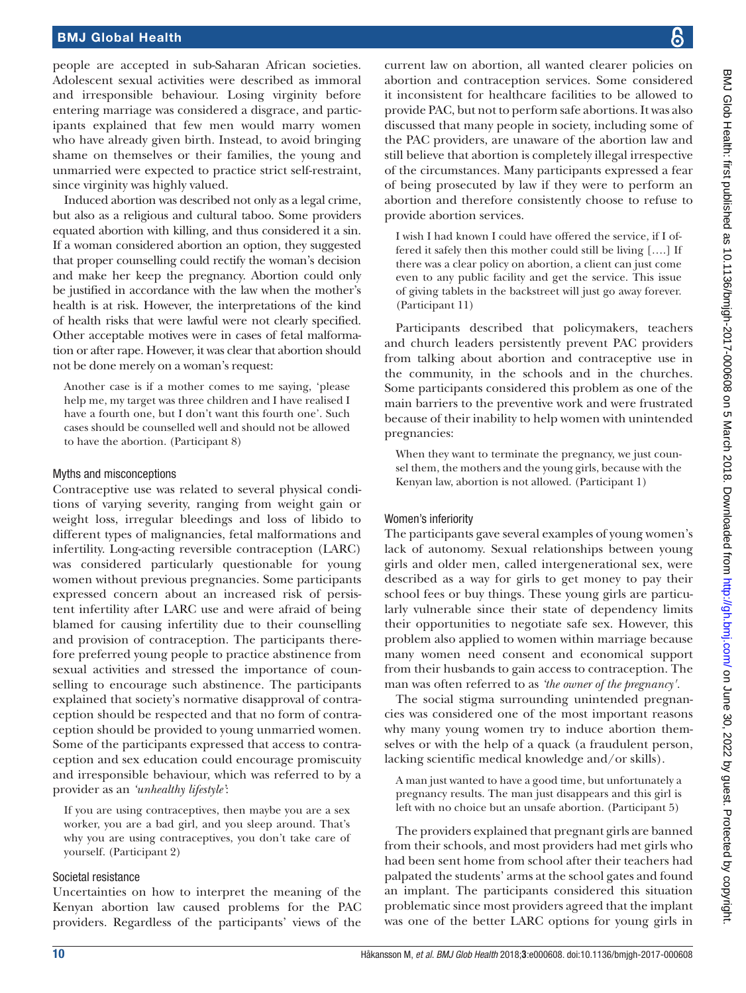people are accepted in sub-Saharan African societies. Adolescent sexual activities were described as immoral and irresponsible behaviour. Losing virginity before entering marriage was considered a disgrace, and participants explained that few men would marry women who have already given birth. Instead, to avoid bringing shame on themselves or their families, the young and unmarried were expected to practice strict self-restraint, since virginity was highly valued.

Induced abortion was described not only as a legal crime, but also as a religious and cultural taboo. Some providers equated abortion with killing, and thus considered it a sin. If a woman considered abortion an option, they suggested that proper counselling could rectify the woman's decision and make her keep the pregnancy. Abortion could only be justified in accordance with the law when the mother's health is at risk. However, the interpretations of the kind of health risks that were lawful were not clearly specified. Other acceptable motives were in cases of fetal malformation or after rape. However, it was clear that abortion should not be done merely on a woman's request:

Another case is if a mother comes to me saying, 'please help me, my target was three children and I have realised I have a fourth one, but I don't want this fourth one'. Such cases should be counselled well and should not be allowed to have the abortion. (Participant 8)

#### Myths and misconceptions

Contraceptive use was related to several physical conditions of varying severity, ranging from weight gain or weight loss, irregular bleedings and loss of libido to different types of malignancies, fetal malformations and infertility. Long-acting reversible contraception (LARC) was considered particularly questionable for young women without previous pregnancies. Some participants expressed concern about an increased risk of persistent infertility after LARC use and were afraid of being blamed for causing infertility due to their counselling and provision of contraception. The participants therefore preferred young people to practice abstinence from sexual activities and stressed the importance of counselling to encourage such abstinence. The participants explained that society's normative disapproval of contraception should be respected and that no form of contraception should be provided to young unmarried women. Some of the participants expressed that access to contraception and sex education could encourage promiscuity and irresponsible behaviour, which was referred to by a provider as an *'unhealthy lifestyle'*:

If you are using contraceptives, then maybe you are a sex worker, you are a bad girl, and you sleep around. That's why you are using contraceptives, you don't take care of yourself. (Participant 2)

#### Societal resistance

Uncertainties on how to interpret the meaning of the Kenyan abortion law caused problems for the PAC providers. Regardless of the participants' views of the

current law on abortion, all wanted clearer policies on abortion and contraception services. Some considered it inconsistent for healthcare facilities to be allowed to provide PAC, but not to perform safe abortions. It was also discussed that many people in society, including some of the PAC providers, are unaware of the abortion law and still believe that abortion is completely illegal irrespective of the circumstances. Many participants expressed a fear of being prosecuted by law if they were to perform an abortion and therefore consistently choose to refuse to provide abortion services.

I wish I had known I could have offered the service, if I offered it safely then this mother could still be living [….] If there was a clear policy on abortion, a client can just come even to any public facility and get the service. This issue of giving tablets in the backstreet will just go away forever. (Participant 11)

Participants described that policymakers, teachers and church leaders persistently prevent PAC providers from talking about abortion and contraceptive use in the community, in the schools and in the churches. Some participants considered this problem as one of the main barriers to the preventive work and were frustrated because of their inability to help women with unintended pregnancies:

When they want to terminate the pregnancy, we just counsel them, the mothers and the young girls, because with the Kenyan law, abortion is not allowed. (Participant 1)

## Women's inferiority

The participants gave several examples of young women's lack of autonomy. Sexual relationships between young girls and older men, called intergenerational sex, were described as a way for girls to get money to pay their school fees or buy things. These young girls are particularly vulnerable since their state of dependency limits their opportunities to negotiate safe sex. However, this problem also applied to women within marriage because many women need consent and economical support from their husbands to gain access to contraception. The man was often referred to as *'the owner of the pregnancy'.*

The social stigma surrounding unintended pregnancies was considered one of the most important reasons why many young women try to induce abortion themselves or with the help of a quack (a fraudulent person, lacking scientific medical knowledge and/or skills).

A man just wanted to have a good time, but unfortunately a pregnancy results. The man just disappears and this girl is left with no choice but an unsafe abortion. (Participant 5)

The providers explained that pregnant girls are banned from their schools, and most providers had met girls who had been sent home from school after their teachers had palpated the students' arms at the school gates and found an implant. The participants considered this situation problematic since most providers agreed that the implant was one of the better LARC options for young girls in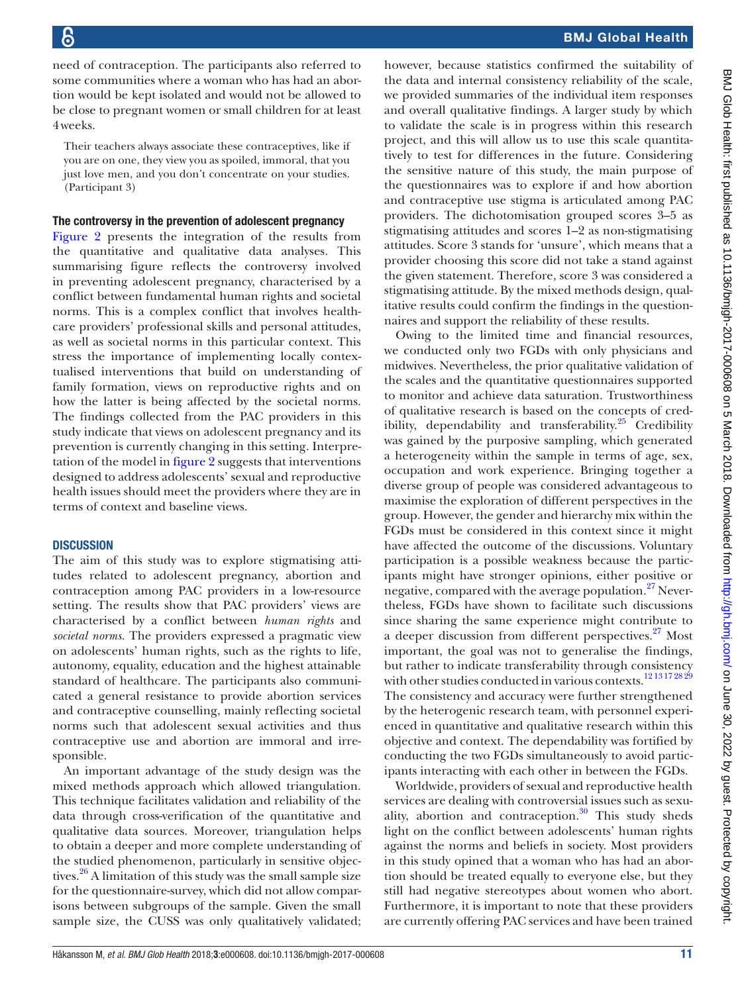need of contraception. The participants also referred to some communities where a woman who has had an abortion would be kept isolated and would not be allowed to be close to pregnant women or small children for at least 4weeks.

Their teachers always associate these contraceptives, like if you are on one, they view you as spoiled, immoral, that you just love men, and you don't concentrate on your studies. (Participant 3)

#### The controversy in the prevention of adolescent pregnancy

[Figure](#page-8-0) 2 presents the integration of the results from the quantitative and qualitative data analyses. This summarising figure reflects the controversy involved in preventing adolescent pregnancy, characterised by a conflict between fundamental human rights and societal norms. This is a complex conflict that involves healthcare providers' professional skills and personal attitudes, as well as societal norms in this particular context. This stress the importance of implementing locally contextualised interventions that build on understanding of family formation, views on reproductive rights and on how the latter is being affected by the societal norms. The findings collected from the PAC providers in this study indicate that views on adolescent pregnancy and its prevention is currently changing in this setting. Interpretation of the model in [figure](#page-8-0) 2 suggests that interventions designed to address adolescents' sexual and reproductive health issues should meet the providers where they are in terms of context and baseline views.

#### **DISCUSSION**

The aim of this study was to explore stigmatising attitudes related to adolescent pregnancy, abortion and contraception among PAC providers in a low-resource setting. The results show that PAC providers' views are characterised by a conflict between *human rights* and *societal norms.* The providers expressed a pragmatic view on adolescents' human rights, such as the rights to life, autonomy, equality, education and the highest attainable standard of healthcare. The participants also communicated a general resistance to provide abortion services and contraceptive counselling, mainly reflecting societal norms such that adolescent sexual activities and thus contraceptive use and abortion are immoral and irresponsible.

An important advantage of the study design was the mixed methods approach which allowed triangulation. This technique facilitates validation and reliability of the data through cross-verification of the quantitative and qualitative data sources. Moreover, triangulation helps to obtain a deeper and more complete understanding of the studied phenomenon, particularly in sensitive objectives. $26$  A limitation of this study was the small sample size for the questionnaire-survey, which did not allow comparisons between subgroups of the sample. Given the small sample size, the CUSS was only qualitatively validated;

however, because statistics confirmed the suitability of the data and internal consistency reliability of the scale, we provided summaries of the individual item responses and overall qualitative findings. A larger study by which to validate the scale is in progress within this research project, and this will allow us to use this scale quantitatively to test for differences in the future. Considering the sensitive nature of this study, the main purpose of the questionnaires was to explore if and how abortion and contraceptive use stigma is articulated among PAC providers. The dichotomisation grouped scores 3–5 as stigmatising attitudes and scores 1–2 as non-stigmatising attitudes. Score 3 stands for 'unsure', which means that a provider choosing this score did not take a stand against the given statement. Therefore, score 3 was considered a stigmatising attitude. By the mixed methods design, qualitative results could confirm the findings in the questionnaires and support the reliability of these results.

Owing to the limited time and financial resources, we conducted only two FGDs with only physicians and midwives. Nevertheless, the prior qualitative validation of the scales and the quantitative questionnaires supported to monitor and achieve data saturation. Trustworthiness of qualitative research is based on the concepts of credibility, dependability and transferability.<sup>25</sup> Credibility was gained by the purposive sampling, which generated a heterogeneity within the sample in terms of age, sex, occupation and work experience. Bringing together a diverse group of people was considered advantageous to maximise the exploration of different perspectives in the group. However, the gender and hierarchy mix within the FGDs must be considered in this context since it might have affected the outcome of the discussions. Voluntary participation is a possible weakness because the participants might have stronger opinions, either positive or negative, compared with the average population.<sup>[27](#page-12-21)</sup> Nevertheless, FGDs have shown to facilitate such discussions since sharing the same experience might contribute to a deeper discussion from different perspectives.<sup>[27](#page-12-21)</sup> Most important, the goal was not to generalise the findings, but rather to indicate transferability through consistency with other studies conducted in various contexts.<sup>[12 13 17 28 29](#page-12-7)</sup> The consistency and accuracy were further strengthened by the heterogenic research team, with personnel experienced in quantitative and qualitative research within this objective and context. The dependability was fortified by conducting the two FGDs simultaneously to avoid participants interacting with each other in between the FGDs.

Worldwide, providers of sexual and reproductive health services are dealing with controversial issues such as sexuality, abortion and contraception. $30$  This study sheds light on the conflict between adolescents' human rights against the norms and beliefs in society. Most providers in this study opined that a woman who has had an abortion should be treated equally to everyone else, but they still had negative stereotypes about women who abort. Furthermore, it is important to note that these providers are currently offering PAC services and have been trained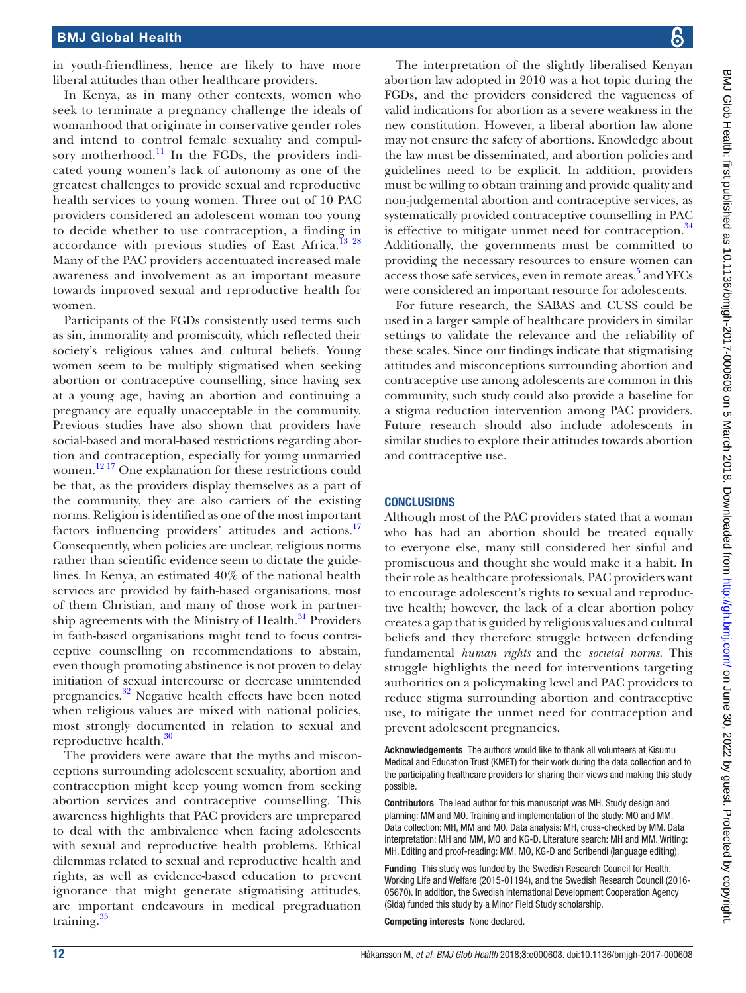in youth-friendliness, hence are likely to have more liberal attitudes than other healthcare providers.

In Kenya, as in many other contexts, women who seek to terminate a pregnancy challenge the ideals of womanhood that originate in conservative gender roles and intend to control female sexuality and compulsory motherhood. $^{11}$  In the FGDs, the providers indicated young women's lack of autonomy as one of the greatest challenges to provide sexual and reproductive health services to young women. Three out of 10 PAC providers considered an adolescent woman too young to decide whether to use contraception, a finding in accordance with previous studies of East Africa.<sup>13</sup>  $28$ Many of the PAC providers accentuated increased male awareness and involvement as an important measure towards improved sexual and reproductive health for women.

Participants of the FGDs consistently used terms such as sin, immorality and promiscuity, which reflected their society's religious values and cultural beliefs. Young women seem to be multiply stigmatised when seeking abortion or contraceptive counselling, since having sex at a young age, having an abortion and continuing a pregnancy are equally unacceptable in the community. Previous studies have also shown that providers have social-based and moral-based restrictions regarding abortion and contraception, especially for young unmarried women.[12 17](#page-12-7) One explanation for these restrictions could be that, as the providers display themselves as a part of the community, they are also carriers of the existing norms. Religion is identified as one of the most important factors influencing providers' attitudes and actions.<sup>[17](#page-12-11)</sup> Consequently, when policies are unclear, religious norms rather than scientific evidence seem to dictate the guidelines. In Kenya, an estimated 40% of the national health services are provided by faith-based organisations, most of them Christian, and many of those work in partnership agreements with the Ministry of Health.<sup>31</sup> Providers in faith-based organisations might tend to focus contraceptive counselling on recommendations to abstain, even though promoting abstinence is not proven to delay initiation of sexual intercourse or decrease unintended pregnancies.<sup>[32](#page-12-25)</sup> Negative health effects have been noted when religious values are mixed with national policies, most strongly documented in relation to sexual and reproductive health.<sup>[30](#page-12-22)</sup>

The providers were aware that the myths and misconceptions surrounding adolescent sexuality, abortion and contraception might keep young women from seeking abortion services and contraceptive counselling. This awareness highlights that PAC providers are unprepared to deal with the ambivalence when facing adolescents with sexual and reproductive health problems. Ethical dilemmas related to sexual and reproductive health and rights, as well as evidence-based education to prevent ignorance that might generate stigmatising attitudes, are important endeavours in medical pregraduation training.<sup>[33](#page-12-26)</sup>

The interpretation of the slightly liberalised Kenyan abortion law adopted in 2010 was a hot topic during the FGDs, and the providers considered the vagueness of valid indications for abortion as a severe weakness in the new constitution. However, a liberal abortion law alone may not ensure the safety of abortions. Knowledge about the law must be disseminated, and abortion policies and guidelines need to be explicit. In addition, providers must be willing to obtain training and provide quality and non-judgemental abortion and contraceptive services, as systematically provided contraceptive counselling in PAC is effective to mitigate unmet need for contraception.<sup>[34](#page-12-27)</sup> Additionally, the governments must be committed to providing the necessary resources to ensure women can access those safe services, even in remote areas,<sup>[5](#page-12-2)</sup> and YFCs were considered an important resource for adolescents.

For future research, the SABAS and CUSS could be used in a larger sample of healthcare providers in similar settings to validate the relevance and the reliability of these scales. Since our findings indicate that stigmatising attitudes and misconceptions surrounding abortion and contraceptive use among adolescents are common in this community, such study could also provide a baseline for a stigma reduction intervention among PAC providers. Future research should also include adolescents in similar studies to explore their attitudes towards abortion and contraceptive use.

#### **CONCLUSIONS**

Although most of the PAC providers stated that a woman who has had an abortion should be treated equally to everyone else, many still considered her sinful and promiscuous and thought she would make it a habit. In their role as healthcare professionals, PAC providers want to encourage adolescent's rights to sexual and reproductive health; however, the lack of a clear abortion policy creates a gap that is guided by religious values and cultural beliefs and they therefore struggle between defending fundamental *human rights* and the *societal norms*. This struggle highlights the need for interventions targeting authorities on a policymaking level and PAC providers to reduce stigma surrounding abortion and contraceptive use, to mitigate the unmet need for contraception and prevent adolescent pregnancies.

Acknowledgements The authors would like to thank all volunteers at Kisumu Medical and Education Trust (KMET) for their work during the data collection and to the participating healthcare providers for sharing their views and making this study possible.

Contributors The lead author for this manuscript was MH. Study design and planning: MM and MO. Training and implementation of the study: MO and MM. Data collection: MH, MM and MO. Data analysis: MH, cross-checked by MM. Data interpretation: MH and MM, MO and KG-D. Literature search: MH and MM. Writing: MH. Editing and proof-reading: MM, MO, KG-D and Scribendi (language editing).

Funding This study was funded by the Swedish Research Council for Health, Working Life and Welfare (2015-01194), and the Swedish Research Council (2016- 05670). In addition, the Swedish International Development Cooperation Agency (Sida) funded this study by a Minor Field Study scholarship.

Competing interests None declared.